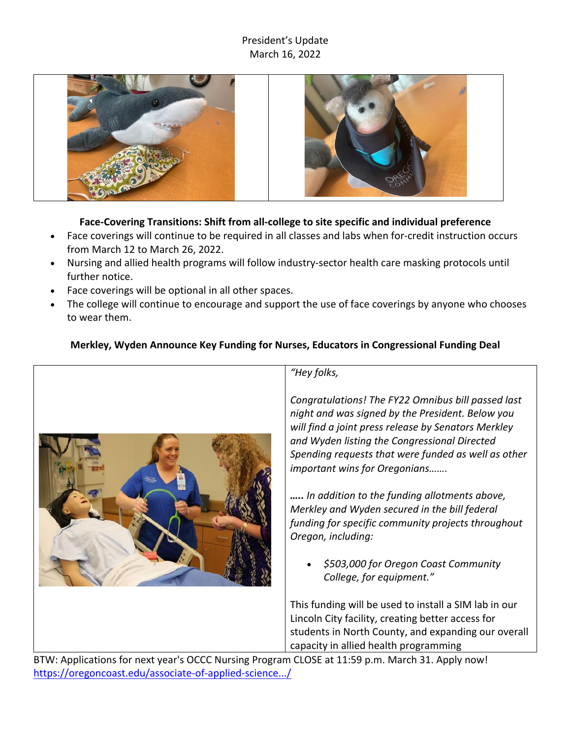# President's Update March 16, 2022





# **Face-Covering Transitions: Shift from all-college to site specific and individual preference**

- Face coverings will continue to be required in all classes and labs when for-credit instruction occurs from March 12 to March 26, 2022.
- Nursing and allied health programs will follow industry-sector health care masking protocols until further notice.
- Face coverings will be optional in all other spaces.
- The college will continue to encourage and support the use of face coverings by anyone who chooses to wear them.

# **Merkley, Wyden Announce Key Funding for Nurses, Educators in Congressional Funding Deal**



# *"Hey folks,*

*Congratulations! The FY22 Omnibus bill passed last night and was signed by the President. Below you will find a joint press release by Senators Merkley and Wyden listing the Congressional Directed Spending requests that were funded as well as other important wins for Oregonians…….*

*….. In addition to the funding allotments above, Merkley and Wyden secured in the bill federal funding for specific community projects throughout Oregon, including:*

• *\$503,000 for Oregon Coast Community College, for equipment."*

This funding will be used to install a SIM lab in our Lincoln City facility, creating better access for students in North County, and expanding our overall capacity in allied health programming

BTW: Applications for next year's OCCC Nursing Program CLOSE at 11:59 p.m. March 31. Apply now! https://oregoncoast.edu/associate-of-applied-science.../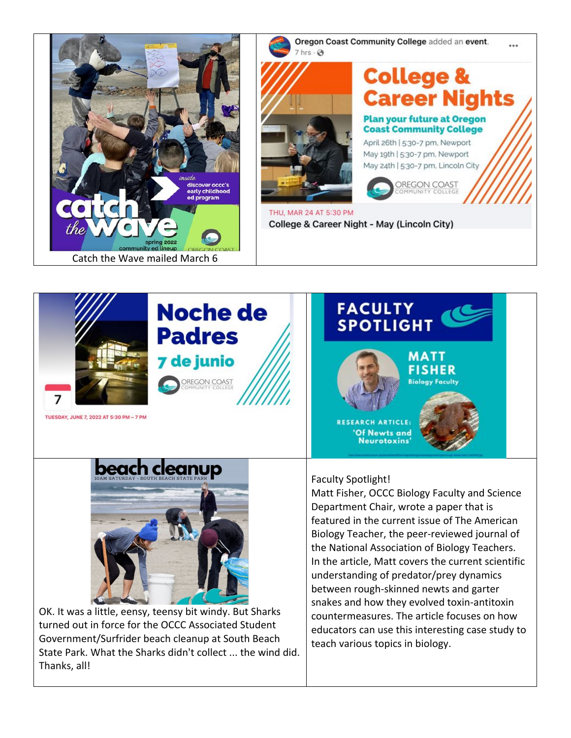





# **College & Career Nights**

**Plan your future at Oregon Coast Community College** 

April 26th | 5:30-7 pm, Newport May 19th | 5:30-7 pm, Newport May 24th | 5:30-7 pm, Lincoln City



THU, MAR 24 AT 5:30 PM College & Career Night - May (Lincoln City)





OK. It was a little, eensy, teensy bit windy. But Sharks turned out in force for the OCCC Associated Student Government/Surfrider beach cleanup at South Beach State Park. What the Sharks didn't collect ... the wind did. Thanks, all!

#### Faculty Spotlight!

Matt Fisher, OCCC Biology Faculty and Science Department Chair, wrote a paper that is featured in the current issue of The American Biology Teacher, the peer-reviewed journal of the National Association of Biology Teachers. In the article, Matt covers the current scientific understanding of predator/prey dynamics between rough-skinned newts and garter snakes and how they evolved toxin-antitoxin countermeasures. The article focuses on how educators can use this interesting case study to teach various topics in biology.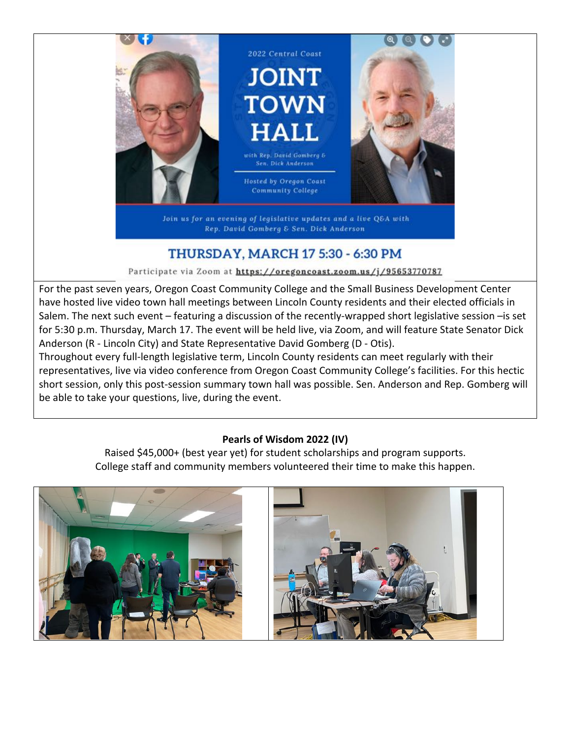

Join us for an evening of legislative updates and a live Q&A with Rep. David Gomberg & Sen. Dick Anderson

# **THURSDAY, MARCH 17 5:30 - 6:30 PM**

Participate via Zoom at https://oregoncoast.zoom.us/j/95653770787

For the past seven years, Oregon Coast Community College and the Small Business Development Center have hosted live video town hall meetings between Lincoln County residents and their elected officials in Salem. The next such event – featuring a discussion of the recently-wrapped short legislative session –is set for 5:30 p.m. Thursday, March 17. The event will be held live, via Zoom, and will feature State Senator Dick Anderson (R - Lincoln City) and State Representative David Gomberg (D - Otis).

Throughout every full-length legislative term, Lincoln County residents can meet regularly with their representatives, live via video conference from Oregon Coast Community College's facilities. For this hectic short session, only this post-session summary town hall was possible. Sen. Anderson and Rep. Gomberg will be able to take your questions, live, during the event.

## **Pearls of Wisdom 2022 (IV)**

Raised \$45,000+ (best year yet) for student scholarships and program supports. College staff and community members volunteered their time to make this happen.